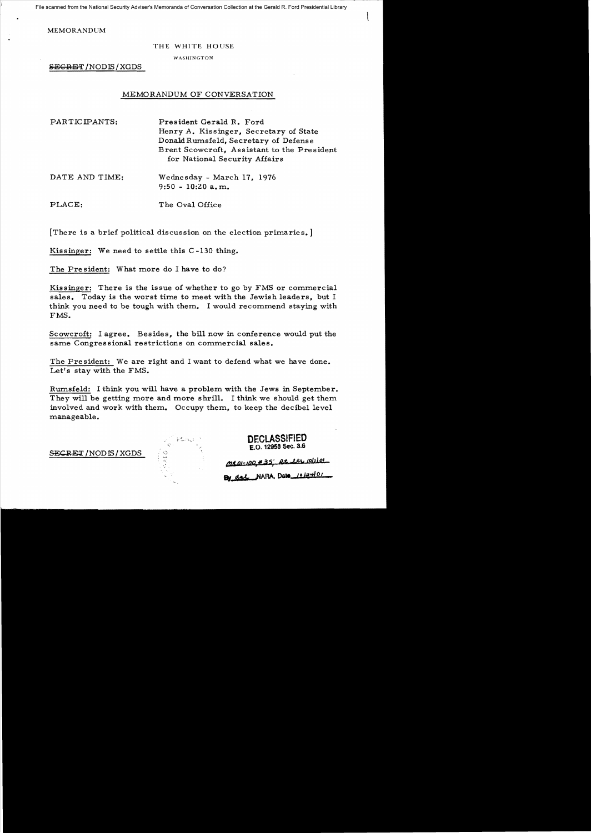File scanned from the National Security Adviser's Memoranda of Conversation Collection at the Gerald R. Ford Presidential Library

MEMORANDUM

### THE WHITE HOUSE

WASHINGTON

SECRET /NODIS/XGDS

## MEMORANDUM OF CONVERSATION

| PARTICIPANTS:  | President Gerald R. Ford<br>Henry A. Kissinger, Secretary of State<br>Donald Rumsfeld, Secretary of Defense<br>Brent Scowcroft, Assistant to the President<br>for National Security Affairs |
|----------------|---------------------------------------------------------------------------------------------------------------------------------------------------------------------------------------------|
| DATE AND TIME: | Wednesday - March 17, 1976<br>$9:50 - 10:20$ a, m.                                                                                                                                          |

PLACE: The Oval Office

[There is a brief political discussion on the election primaries.]

Kissinger: We need to settle this C -130 thing.

The President: What more do I have to do?

Kissinger: There is the issue of whether to go by FMS or commercial sales. Today is the worst time to meet with the Jewish leaders, but I think you need to be tough with them. I would recommend staying with FMS.

Scowcroft: I agree. Besides, the bill now in conference would put the same Congres sional restrictions on commercial sales.

The President: We are right and I want to defend what we have done. Let's stay with the FMS.

Rumsfeld: I think you will have a problem with the Jews in September. They will be getting more and more shrill. I think we should get them involved and work with them. Occupy them, to keep the decibel level manageable.

SECRET / NODIS / XGDS

**DECLASSIFIED**  £.0. 12958 Sec. 3.6

*(!J.I"IJI-tIJP,"* .3 s; *R.it. . .J.M.t toll 19'* 

**By act NARA, Date 10124101**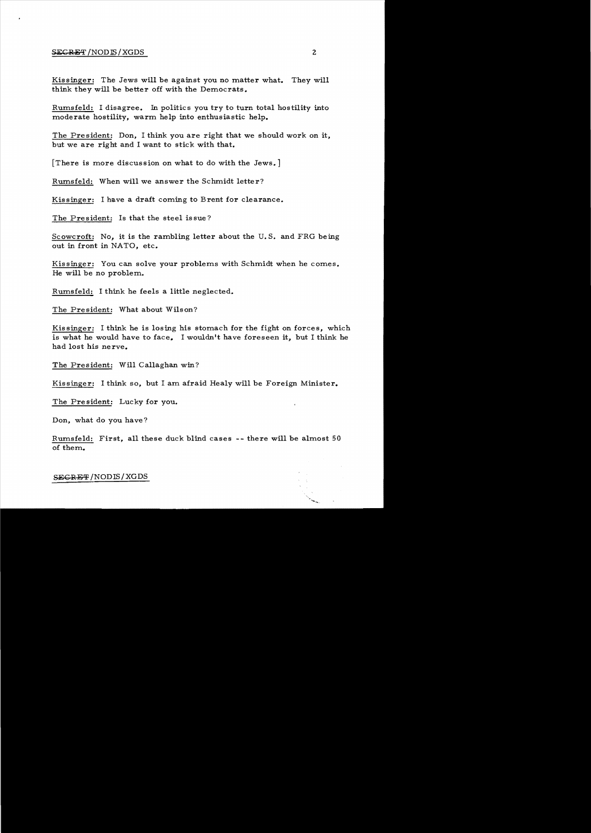#### SECRET/NODIS/XGDS 2

Kissinger: The Jews will be against you no matter what. They will think they will be better off with the Democrats.

Rumsfeld: I disagree. In politics you try to turn total hostility into moderate hostility, warm help into enthusiastic help.

The President: Don, I think you are right that we should work on it, but we are right and I want to stick with that.

[There is more discussion on what to do with the Jews.]

Rumsfeld: When will we answer the Schmidt letter?

Kissinger: I have a draft coming to Brent for clearance.

The President: Is that the steel issue?

Scowcroft: No, it is the rambling letter about the U.S. and FRG being out in front in NATO, etc.

Kissinger: You can solve your problems with Schmidt when he comes. He will be no problem.

Rumsfeld: I think he feels a little neglected.

The President: What about Wilson?

Kissinger: I think he is losing his stomach for the fight on forces, which is what he would have to face. I wouldn't have foreseen it, but I think he had lost his nerve.

The President: Will Callaghan win?

Kissinger: I think so, but I am afraid Healy will be Foreign Minister.

The President: Lucky for you.

Don, what do you have?

Rumsfeld: First, all these duck blind cases -- there will be almost 50 of them.

SEGRET/NODIS/XGDS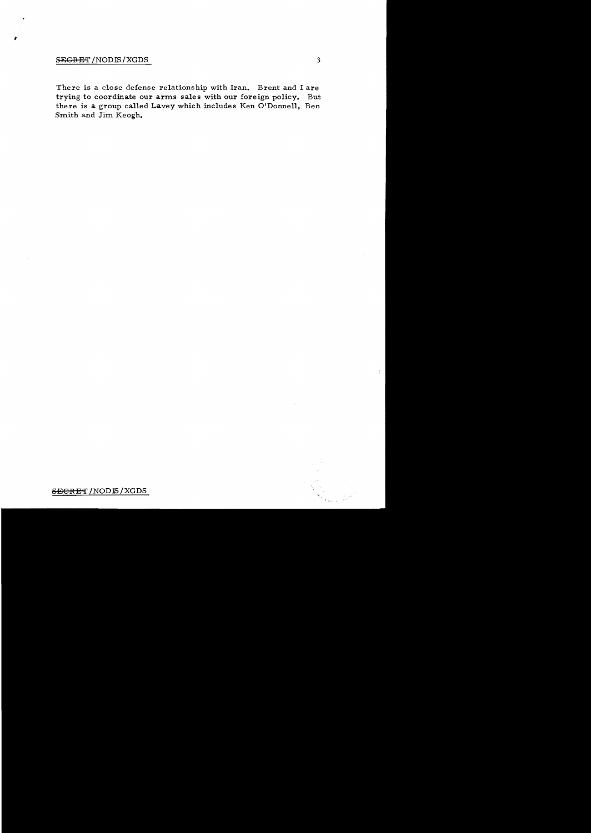# SEGRET / NODIS / XGDS

 $\frac{1}{\sqrt{2}}$ 

There is a close defense relationship with Iran. Brent and I are trying to coordinate our arms sales with our foreign policy. But there is a group called Lavey which includes Ken O'Donnell, Ben Smith and Jim Keogh.

 $\frac{1}{4}$ 

## **SECRET** / NOD IS / XGDS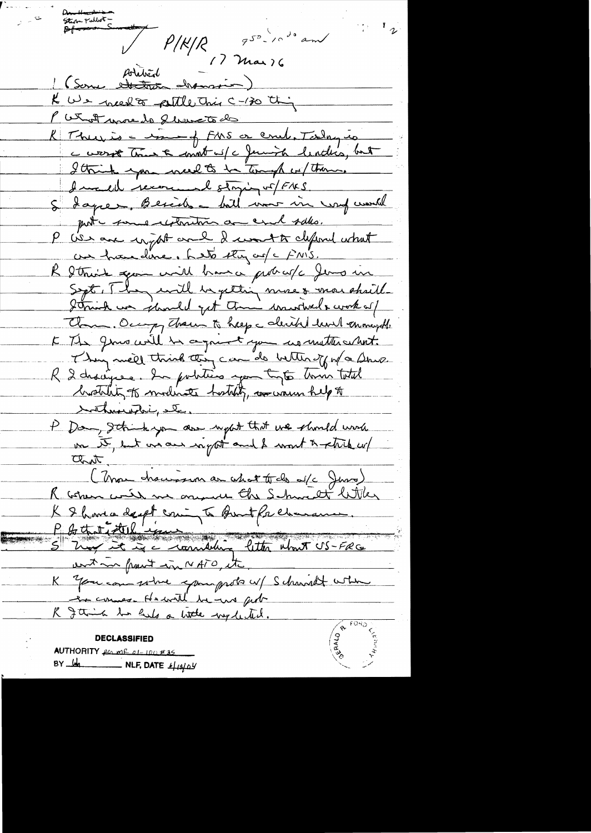Steve Politics -  $P/K/R$  950 - 10 de and Artitriche des Services K We need to petitle This C-130 this P What was lo fluxatode R There is a round FMS or comb. Today is c worst true & mont w/c Juniob lending, but I think you well to be tomagh in them. I well recommend stoying of FAKS. S Lagrer, Beside - bill war in und work put tome reformer a coul sales. P We are ingthe and I won't define what au franc dance. Let stay au/c FNIS. R Strink spon will brance probable Jens in Sept. They will begitting more & more shall Strink un should get them wanteds work of Clam, Occupy Them to help a clerike level enought E The generally be a going to you no mother what. They meet think this can do better of w/a Show. R 2 dragues. In politics you type time total brothlity to modinate hostily, wo warm help to tothese which etc. P Dan, Ithinkyon are upot that we should work un te, ent un aus right and I wont to still up ant. (Mon charison au chat trab d/c Juro) K & havia dept coming to Bout Prehamance. Is that it the international fitter what US-FRG ant in front in NATO, it K You can some spampste u/ Schwidt when he comes Hewrith he we get R gain to hals a little wy letter. **DECLASSIFIED** AUTHORITY for me of 100 #35

BY  $\frac{1}{2}$  NLF, DATE  $\frac{1}{4}$